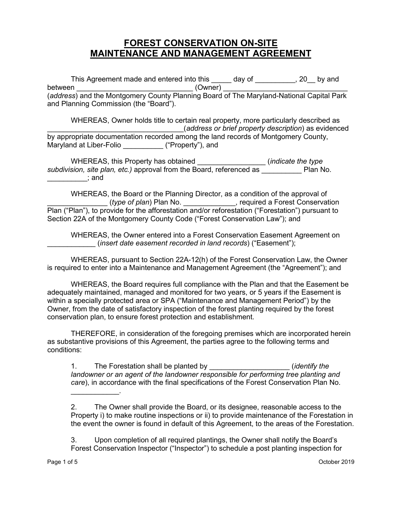## **FOREST CONSERVATION ON-SITE MAINTENANCE AND MANAGEMENT AGREEMENT**

This Agreement made and entered into this \_\_\_\_\_ day of \_\_\_\_\_\_\_\_\_, 20\_\_ by and between \_\_\_\_\_\_\_\_\_\_\_\_\_\_\_\_\_\_\_\_\_\_\_\_\_\_\_\_\_ (Owner) \_\_\_\_\_\_\_\_\_\_\_\_\_\_\_\_\_\_\_\_\_\_\_\_\_\_\_\_\_\_\_ (*address*) and the Montgomery County Planning Board of The Maryland-National Capital Park and Planning Commission (the "Board").

WHEREAS, Owner holds title to certain real property, more particularly described as \_\_\_\_\_\_\_\_\_\_\_\_\_\_\_\_\_\_\_\_\_\_\_\_\_\_\_\_\_\_\_\_\_\_(*address or brief property description*) as evidenced by appropriate documentation recorded among the land records of Montgomery County, Maryland at Liber-Folio **Example 20** ("Property"), and

WHEREAS, this Property has obtained \_\_\_\_\_\_\_\_\_\_\_\_\_\_\_\_\_ (*indicate the type subdivision, site plan, etc.)* approval from the Board, referenced as \_\_\_\_\_\_\_\_\_\_ Plan No.  $\;$ ; and

WHEREAS, the Board or the Planning Director, as a condition of the approval of \_\_\_\_\_\_\_\_\_\_\_\_\_\_\_ (*type of plan*) Plan No. \_\_\_\_\_\_\_\_\_\_\_\_\_, required a Forest Conservation Plan ("Plan"), to provide for the afforestation and/or reforestation ("Forestation") pursuant to Section 22A of the Montgomery County Code ("Forest Conservation Law"); and

WHEREAS, the Owner entered into a Forest Conservation Easement Agreement on \_\_\_\_\_\_\_\_\_\_\_\_ (*insert date easement recorded in land records*) ("Easement");

WHEREAS, pursuant to Section 22A-12(h) of the Forest Conservation Law, the Owner is required to enter into a Maintenance and Management Agreement (the "Agreement"); and

WHEREAS, the Board requires full compliance with the Plan and that the Easement be adequately maintained, managed and monitored for two years, or 5 years if the Easement is within a specially protected area or SPA ("Maintenance and Management Period") by the Owner, from the date of satisfactory inspection of the forest planting required by the forest conservation plan, to ensure forest protection and establishment.

THEREFORE, in consideration of the foregoing premises which are incorporated herein as substantive provisions of this Agreement, the parties agree to the following terms and conditions:

1. The Forestation shall be planted by \_\_\_\_\_\_\_\_\_\_\_\_\_\_\_\_\_\_\_\_ (*identify the landowner or an agent of the landowner responsible for performing tree planting and care*), in accordance with the final specifications of the Forest Conservation Plan No.

2. The Owner shall provide the Board, or its designee, reasonable access to the Property i) to make routine inspections or ii) to provide maintenance of the Forestation in the event the owner is found in default of this Agreement, to the areas of the Forestation.

3. Upon completion of all required plantings, the Owner shall notify the Board's Forest Conservation Inspector ("Inspector") to schedule a post planting inspection for

 $\overline{\phantom{a}}$  , where  $\overline{\phantom{a}}$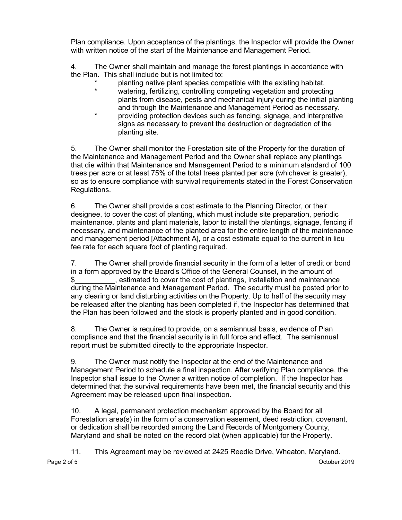Plan compliance. Upon acceptance of the plantings, the Inspector will provide the Owner with written notice of the start of the Maintenance and Management Period.

4. The Owner shall maintain and manage the forest plantings in accordance with the Plan. This shall include but is not limited to:

- \* planting native plant species compatible with the existing habitat.
- watering, fertilizing, controlling competing vegetation and protecting plants from disease, pests and mechanical injury during the initial planting and through the Maintenance and Management Period as necessary.
- providing protection devices such as fencing, signage, and interpretive signs as necessary to prevent the destruction or degradation of the planting site.

5. The Owner shall monitor the Forestation site of the Property for the duration of the Maintenance and Management Period and the Owner shall replace any plantings that die within that Maintenance and Management Period to a minimum standard of 100 trees per acre or at least 75% of the total trees planted per acre (whichever is greater), so as to ensure compliance with survival requirements stated in the Forest Conservation Regulations.

6. The Owner shall provide a cost estimate to the Planning Director, or their designee, to cover the cost of planting, which must include site preparation, periodic maintenance, plants and plant materials, labor to install the plantings, signage, fencing if necessary, and maintenance of the planted area for the entire length of the maintenance and management period [Attachment A], or a cost estimate equal to the current in lieu fee rate for each square foot of planting required.

7. The Owner shall provide financial security in the form of a letter of credit or bond in a form approved by the Board's Office of the General Counsel, in the amount of \$\_\_\_\_\_\_\_\_\_\_, estimated to cover the cost of plantings, installation and maintenance during the Maintenance and Management Period. The security must be posted prior to any clearing or land disturbing activities on the Property. Up to half of the security may be released after the planting has been completed if, the Inspector has determined that the Plan has been followed and the stock is properly planted and in good condition.

8. The Owner is required to provide, on a semiannual basis, evidence of Plan compliance and that the financial security is in full force and effect. The semiannual report must be submitted directly to the appropriate Inspector.

9. The Owner must notify the Inspector at the end of the Maintenance and Management Period to schedule a final inspection. After verifying Plan compliance, the Inspector shall issue to the Owner a written notice of completion. If the Inspector has determined that the survival requirements have been met, the financial security and this Agreement may be released upon final inspection.

10. A legal, permanent protection mechanism approved by the Board for all Forestation area(s) in the form of a conservation easement, deed restriction, covenant, or dedication shall be recorded among the Land Records of Montgomery County, Maryland and shall be noted on the record plat (when applicable) for the Property.

Page 2 of 5 October 2019 - Andreas States and States and States and States and States and States and States and 11. This Agreement may be reviewed at 2425 Reedie Drive, Wheaton, Maryland.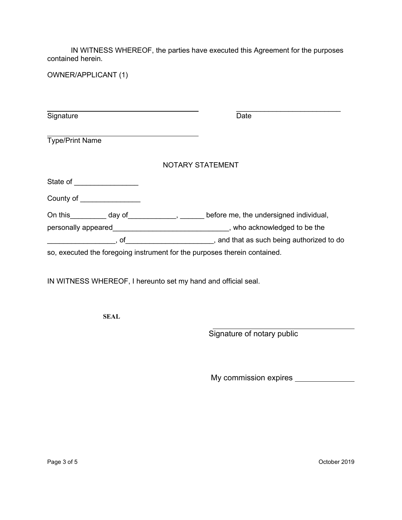IN WITNESS WHEREOF, the parties have executed this Agreement for the purposes contained herein.

OWNER/APPLICANT (1)

| Signature                                                                                                                                                                                                                            | Date                                                                                                                                                                                                                                 |
|--------------------------------------------------------------------------------------------------------------------------------------------------------------------------------------------------------------------------------------|--------------------------------------------------------------------------------------------------------------------------------------------------------------------------------------------------------------------------------------|
| <b>Type/Print Name</b>                                                                                                                                                                                                               |                                                                                                                                                                                                                                      |
|                                                                                                                                                                                                                                      | <b>NOTARY STATEMENT</b>                                                                                                                                                                                                              |
| State of the state of the state of                                                                                                                                                                                                   |                                                                                                                                                                                                                                      |
| <b>County of Exercise County of Exercise County of Exercise County of Exercise County of Exercise County of Exercise County of Exercise County of Exercise County of Exercise County of Exercise County of Exercise County of Ex</b> |                                                                                                                                                                                                                                      |
| On this day of this day of the set of the set of the set of the set of the set of the set of the set of the se                                                                                                                       | before me, the undersigned individual,                                                                                                                                                                                               |
|                                                                                                                                                                                                                                      | personally appeared <b>the contract of the contract of the contract of the contract of the contract of the contract of the contract of the contract of the contract of the contract of the contract of the contract of the contr</b> |
| , of                                                                                                                                                                                                                                 | , and that as such being authorized to do                                                                                                                                                                                            |
| so, executed the foregoing instrument for the purposes therein contained.                                                                                                                                                            |                                                                                                                                                                                                                                      |

IN WITNESS WHEREOF, I hereunto set my hand and official seal.

**SEAL**

Signature of notary public

My commission expires \_\_\_\_\_\_\_\_\_\_\_\_\_\_\_\_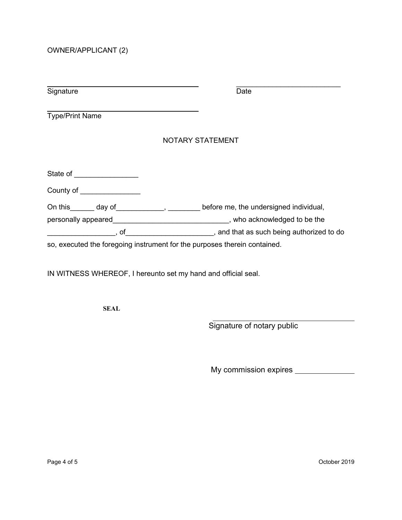OWNER/APPLICANT (2)

| Signature                            | Date                                                                                                |
|--------------------------------------|-----------------------------------------------------------------------------------------------------|
| <b>Type/Print Name</b>               |                                                                                                     |
|                                      | NOTARY STATEMENT                                                                                    |
| State of <u>_______________</u>      |                                                                                                     |
| County of <u>County of County of</u> |                                                                                                     |
|                                      | On this day of , before me, the undersigned individual,                                             |
|                                      | personally appeared example and the set of the set of the set of the set of the personally appeared |
| ,of                                  | and that as such being authorized to do                                                             |
|                                      | so, executed the foregoing instrument for the purposes therein contained.                           |

IN WITNESS WHEREOF, I hereunto set my hand and official seal.

**SEAL**

Signature of notary public

My commission expires \_\_\_\_\_\_\_\_\_\_\_\_\_\_\_